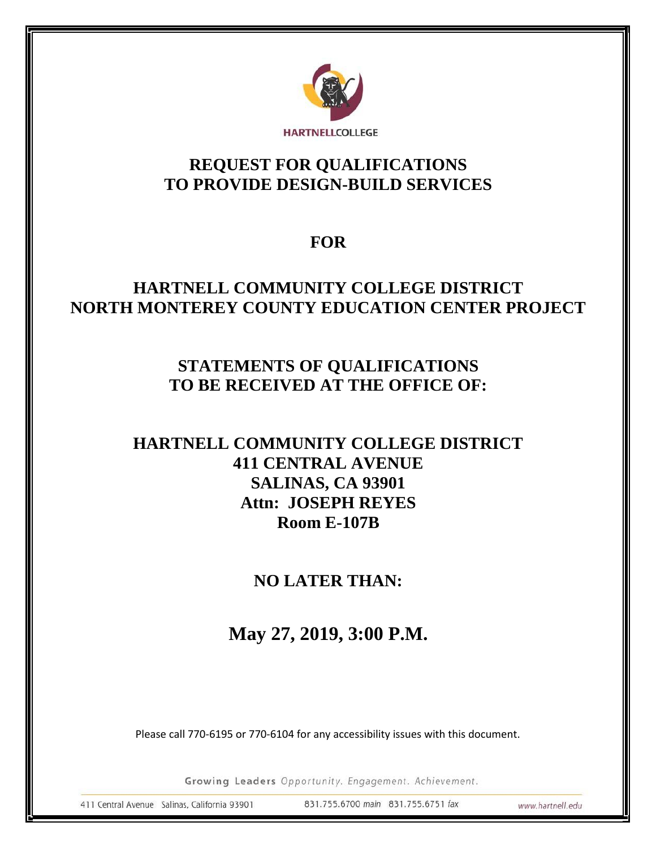

# **REQUEST FOR QUALIFICATIONS TO PROVIDE DESIGN-BUILD SERVICES**

# **FOR**

# **HARTNELL COMMUNITY COLLEGE DISTRICT NORTH MONTEREY COUNTY EDUCATION CENTER PROJECT**

# **STATEMENTS OF QUALIFICATIONS TO BE RECEIVED AT THE OFFICE OF:**

# **HARTNELL COMMUNITY COLLEGE DISTRICT 411 CENTRAL AVENUE SALINAS, CA 93901 Attn: JOSEPH REYES Room E-107B**

# **NO LATER THAN:**

**May 27, 2019, 3:00 P.M.**

Please call 770-6195 or 770-6104 for any accessibility issues with this document.

Growing Leaders Opportunity. Engagement. Achievement.

411 Central Avenue Salinas, California 93901

831.755.6700 main 831.755.6751 fax

www.hartnell.edu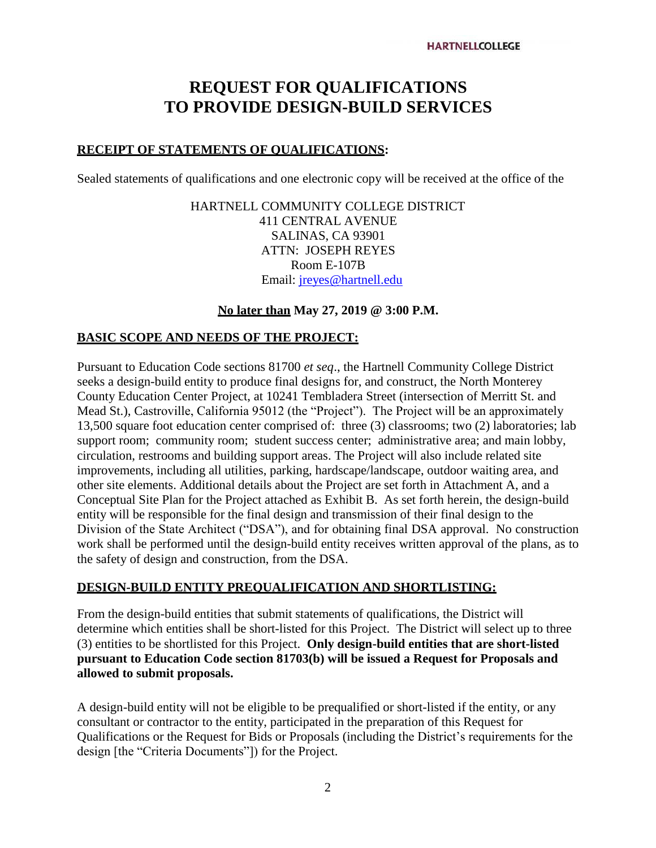# **REQUEST FOR QUALIFICATIONS TO PROVIDE DESIGN-BUILD SERVICES**

#### **RECEIPT OF STATEMENTS OF QUALIFICATIONS:**

Sealed statements of qualifications and one electronic copy will be received at the office of the

HARTNELL COMMUNITY COLLEGE DISTRICT 411 CENTRAL AVENUE SALINAS, CA 93901 ATTN: JOSEPH REYES Room E-107B Email: [jreyes@hartnell.edu](mailto:jreyes@hartnell.edu)

#### **No later than May 27, 2019 @ 3:00 P.M.**

#### **BASIC SCOPE AND NEEDS OF THE PROJECT:**

Pursuant to Education Code sections 81700 *et seq*., the Hartnell Community College District seeks a design-build entity to produce final designs for, and construct, the North Monterey County Education Center Project, at 10241 Tembladera Street (intersection of Merritt St. and Mead St.), Castroville, California 95012 (the "Project"). The Project will be an approximately 13,500 square foot education center comprised of: three (3) classrooms; two (2) laboratories; lab support room; community room; student success center; administrative area; and main lobby, circulation, restrooms and building support areas. The Project will also include related site improvements, including all utilities, parking, hardscape/landscape, outdoor waiting area, and other site elements. Additional details about the Project are set forth in Attachment A, and a Conceptual Site Plan for the Project attached as Exhibit B. As set forth herein, the design-build entity will be responsible for the final design and transmission of their final design to the Division of the State Architect ("DSA"), and for obtaining final DSA approval. No construction work shall be performed until the design-build entity receives written approval of the plans, as to the safety of design and construction, from the DSA.

#### **DESIGN-BUILD ENTITY PREQUALIFICATION AND SHORTLISTING:**

From the design-build entities that submit statements of qualifications, the District will determine which entities shall be short-listed for this Project. The District will select up to three (3) entities to be shortlisted for this Project. **Only design-build entities that are short-listed pursuant to Education Code section 81703(b) will be issued a Request for Proposals and allowed to submit proposals.**

A design-build entity will not be eligible to be prequalified or short-listed if the entity, or any consultant or contractor to the entity, participated in the preparation of this Request for Qualifications or the Request for Bids or Proposals (including the District's requirements for the design [the "Criteria Documents"]) for the Project.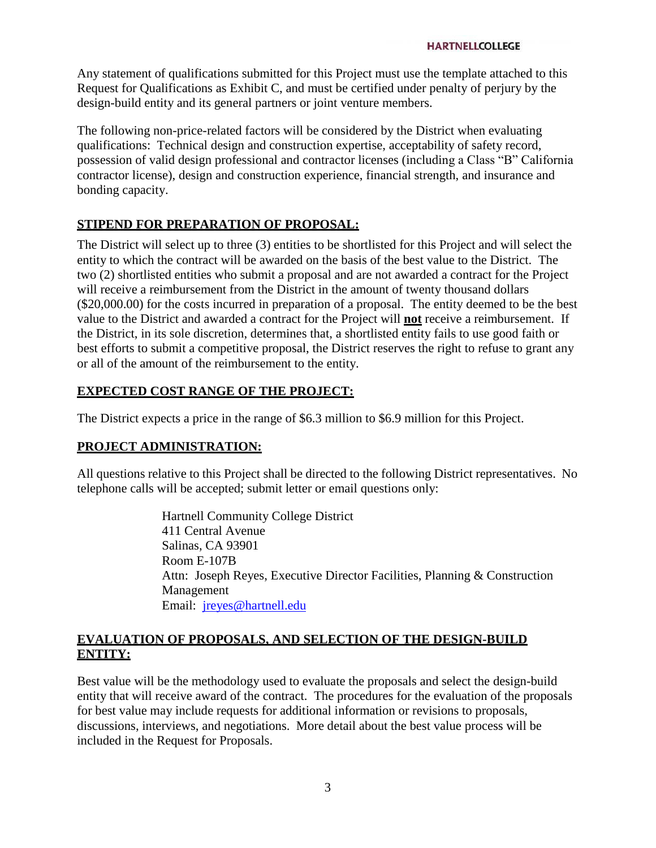Any statement of qualifications submitted for this Project must use the template attached to this Request for Qualifications as Exhibit C, and must be certified under penalty of perjury by the design-build entity and its general partners or joint venture members.

The following non-price-related factors will be considered by the District when evaluating qualifications: Technical design and construction expertise, acceptability of safety record, possession of valid design professional and contractor licenses (including a Class "B" California contractor license), design and construction experience, financial strength, and insurance and bonding capacity.

#### **STIPEND FOR PREPARATION OF PROPOSAL:**

The District will select up to three (3) entities to be shortlisted for this Project and will select the entity to which the contract will be awarded on the basis of the best value to the District. The two (2) shortlisted entities who submit a proposal and are not awarded a contract for the Project will receive a reimbursement from the District in the amount of twenty thousand dollars (\$20,000.00) for the costs incurred in preparation of a proposal. The entity deemed to be the best value to the District and awarded a contract for the Project will **not** receive a reimbursement. If the District, in its sole discretion, determines that, a shortlisted entity fails to use good faith or best efforts to submit a competitive proposal, the District reserves the right to refuse to grant any or all of the amount of the reimbursement to the entity.

#### **EXPECTED COST RANGE OF THE PROJECT:**

The District expects a price in the range of \$6.3 million to \$6.9 million for this Project.

#### **PROJECT ADMINISTRATION:**

All questions relative to this Project shall be directed to the following District representatives. No telephone calls will be accepted; submit letter or email questions only:

> Hartnell Community College District 411 Central Avenue Salinas, CA 93901 Room E-107B Attn: Joseph Reyes, Executive Director Facilities, Planning & Construction Management Email: [jreyes@hartnell.edu](mailto:jreyes@hartnell.edu)

#### **EVALUATION OF PROPOSALS, AND SELECTION OF THE DESIGN-BUILD ENTITY:**

Best value will be the methodology used to evaluate the proposals and select the design-build entity that will receive award of the contract. The procedures for the evaluation of the proposals for best value may include requests for additional information or revisions to proposals, discussions, interviews, and negotiations. More detail about the best value process will be included in the Request for Proposals.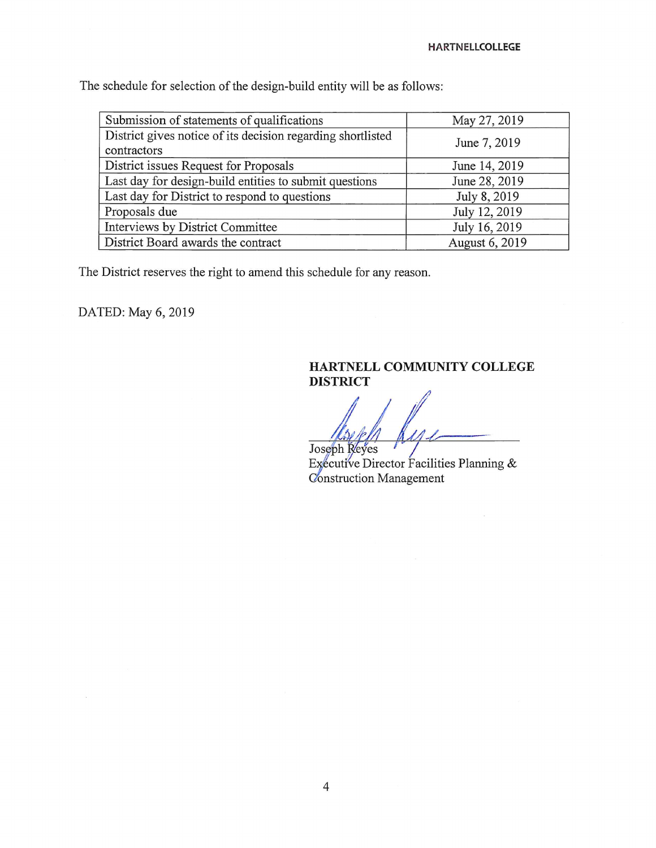The schedule for selection of the design-build entity will be as follows:

| Submission of statements of qualifications                                 | May 27, 2019   |
|----------------------------------------------------------------------------|----------------|
| District gives notice of its decision regarding shortlisted<br>contractors | June 7, 2019   |
| District issues Request for Proposals                                      | June 14, 2019  |
| Last day for design-build entities to submit questions                     | June 28, 2019  |
| Last day for District to respond to questions                              | July 8, 2019   |
| Proposals due                                                              | July 12, 2019  |
| Interviews by District Committee                                           | July 16, 2019  |
| District Board awards the contract                                         | August 6, 2019 |

The District reserves the right to amend this schedule for any reason.

DATED: May 6, 2019

 $\sim$ 

#### HARTNELL COMMUNITY COLLEGE **DISTRICT**

Joseph Reyes

Executive Director Facilities Planning & Construction Management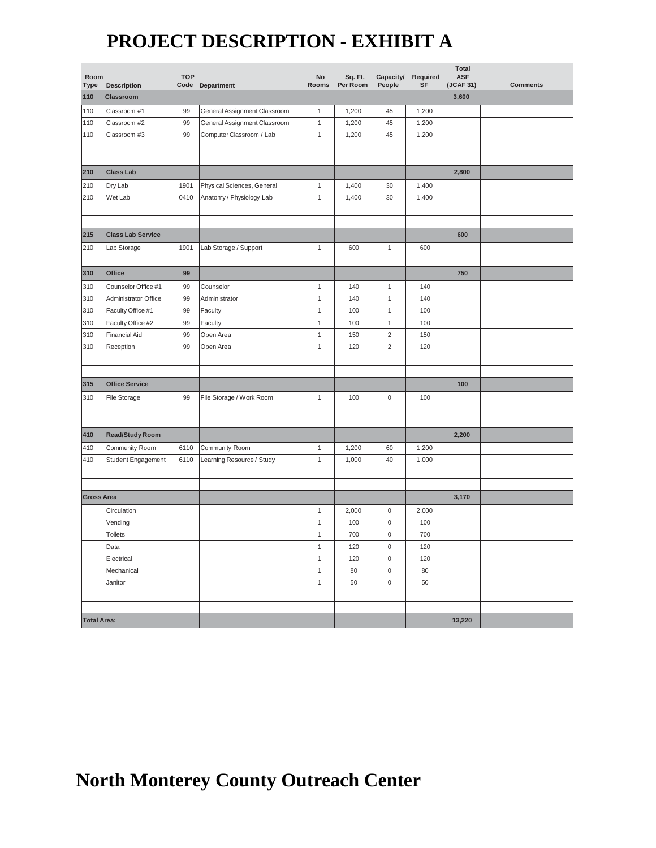# **PROJECT DESCRIPTION - EXHIBIT A**

| Room<br>Type       | Description              | <b>TOP</b> | Code Department              | $\mathsf{No}$<br>Rooms | Sq. Ft.<br>Per Room | Capacity/<br>People | Required<br><b>SF</b> | <b>Total</b><br><b>ASF</b><br>(JCAF 31) | <b>Comments</b> |
|--------------------|--------------------------|------------|------------------------------|------------------------|---------------------|---------------------|-----------------------|-----------------------------------------|-----------------|
| 110                | Classroom                |            |                              |                        |                     |                     |                       | 3,600                                   |                 |
| 110                | Classroom #1             | 99         | General Assignment Classroom | $\mathbf{1}$           | 1,200               | 45                  | 1,200                 |                                         |                 |
| 110                | Classroom #2             | 99         | General Assignment Classroom | $\mathbf{1}$           | 1,200               | 45                  | 1,200                 |                                         |                 |
| 110                | Classroom #3             | 99         | Computer Classroom / Lab     | $\mathbf{1}$           | 1,200               | 45                  | 1,200                 |                                         |                 |
|                    |                          |            |                              |                        |                     |                     |                       |                                         |                 |
|                    |                          |            |                              |                        |                     |                     |                       |                                         |                 |
| 210                | <b>Class Lab</b>         |            |                              |                        |                     |                     |                       | 2,800                                   |                 |
| 210                | Dry Lab                  | 1901       | Physical Sciences, General   | $\mathbf{1}$           | 1,400               | 30                  | 1,400                 |                                         |                 |
| 210                | Wet Lab                  | 0410       | Anatomy / Physiology Lab     | $\mathbf{1}$           | 1,400               | 30                  | 1,400                 |                                         |                 |
|                    |                          |            |                              |                        |                     |                     |                       |                                         |                 |
|                    |                          |            |                              |                        |                     |                     |                       |                                         |                 |
| 215                | <b>Class Lab Service</b> |            |                              |                        |                     |                     |                       | 600                                     |                 |
| 210                | Lab Storage              | 1901       | Lab Storage / Support        | $\mathbf{1}$           | 600                 | $\mathbf{1}$        | 600                   |                                         |                 |
|                    |                          |            |                              |                        |                     |                     |                       |                                         |                 |
| 310                | Office                   | 99         |                              |                        |                     |                     |                       | 750                                     |                 |
| 310                | Counselor Office #1      | 99         | Counselor                    | $\mathbf{1}$           | 140                 | $\mathbf{1}$        | 140                   |                                         |                 |
| 310                | Administrator Office     | 99         | Administrator                | $\mathbf{1}$           | 140                 | $\mathbf{1}$        | 140                   |                                         |                 |
| 310                | Faculty Office #1        | 99         | Faculty                      | $\mathbf{1}$           | 100                 | $\mathbf{1}$        | 100                   |                                         |                 |
| 310                | Faculty Office #2        | 99         | Faculty                      | $\mathbf{1}$           | 100                 | $\mathbf 1$         | 100                   |                                         |                 |
| 310                | <b>Financial Aid</b>     | 99         | Open Area                    | $\mathbf{1}$           | 150                 | $\overline{c}$      | 150                   |                                         |                 |
| 310                | Reception                | 99         | Open Area                    | $\mathbf{1}$           | 120                 | $\overline{c}$      | 120                   |                                         |                 |
|                    |                          |            |                              |                        |                     |                     |                       |                                         |                 |
|                    |                          |            |                              |                        |                     |                     |                       |                                         |                 |
| 315                | <b>Office Service</b>    |            |                              |                        |                     |                     |                       | 100                                     |                 |
| 310                | <b>File Storage</b>      | 99         | File Storage / Work Room     | $\mathbf{1}$           | 100                 | 0                   | 100                   |                                         |                 |
|                    |                          |            |                              |                        |                     |                     |                       |                                         |                 |
|                    |                          |            |                              |                        |                     |                     |                       |                                         |                 |
| 410                | <b>Read/Study Room</b>   |            |                              |                        |                     |                     |                       | 2,200                                   |                 |
| 410                | Community Room           | 6110       | Community Room               | $\mathbf{1}$           | 1,200               | 60                  | 1,200                 |                                         |                 |
| 410                | Student Engagement       | 6110       | Learning Resource / Study    | $\mathbf{1}$           | 1,000               | 40                  | 1,000                 |                                         |                 |
|                    |                          |            |                              |                        |                     |                     |                       |                                         |                 |
|                    |                          |            |                              |                        |                     |                     |                       |                                         |                 |
| <b>Gross Area</b>  |                          |            |                              |                        |                     |                     |                       | 3,170                                   |                 |
|                    | Circulation              |            |                              | $\mathbf{1}$           | 2,000               | $\mathsf 0$         | 2,000                 |                                         |                 |
|                    | Vending                  |            |                              | $\mathbf{1}$           | 100                 | 0                   | 100                   |                                         |                 |
|                    | <b>Toilets</b>           |            |                              | $\mathbf{1}$           | 700                 | $\mathsf{O}\xspace$ | 700                   |                                         |                 |
|                    | Data                     |            |                              | $\mathbf{1}$           | 120                 | $\pmb{0}$           | 120                   |                                         |                 |
|                    | Electrical               |            |                              | $\mathbf 1$            | 120                 | $\mathbf 0$         | 120                   |                                         |                 |
|                    | Mechanical               |            |                              | $\mathbf{1}$           | 80                  | 0                   | 80                    |                                         |                 |
|                    | Janitor                  |            |                              | $\mathbf 1$            | 50                  | $\mathsf 0$         | 50                    |                                         |                 |
|                    |                          |            |                              |                        |                     |                     |                       |                                         |                 |
|                    |                          |            |                              |                        |                     |                     |                       |                                         |                 |
| <b>Total Area:</b> |                          |            |                              |                        |                     |                     |                       | 13,220                                  |                 |

# **North Monterey County Outreach Center**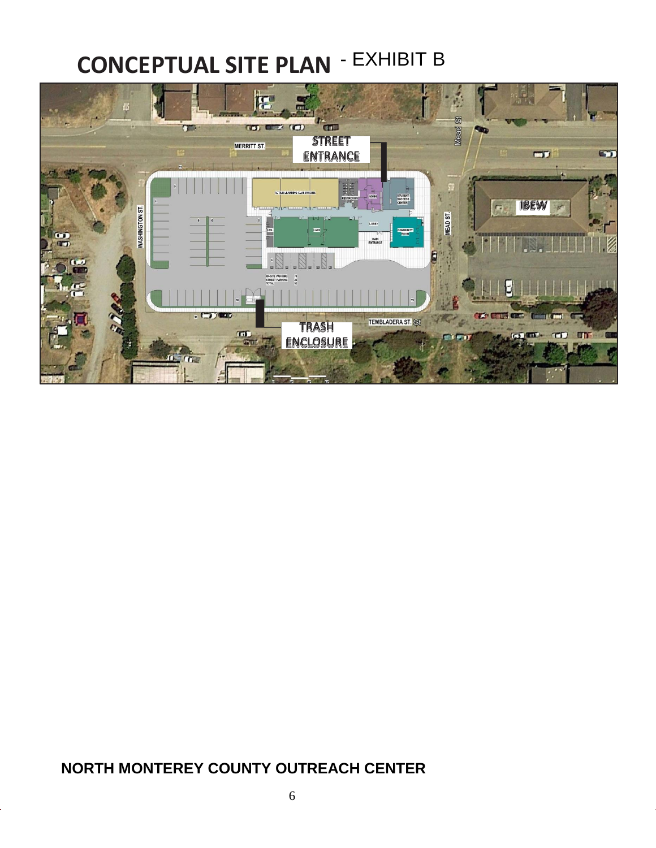# **CONCEPTUAL SITE PLAN** - EXHIBIT B



## **NORTH MONTEREY COUNTY OUTREACH CENTER**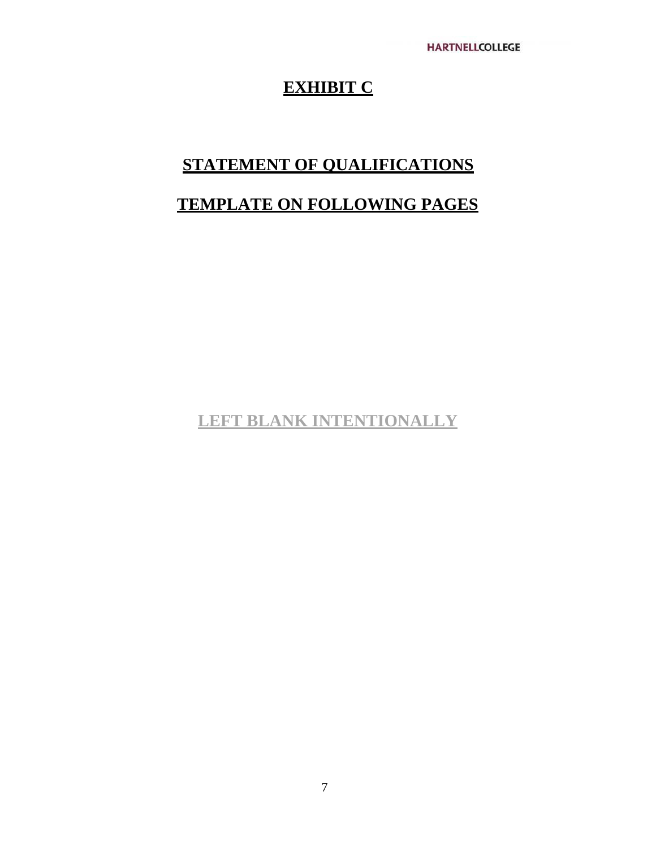# **EXHIBIT C**

# **STATEMENT OF QUALIFICATIONS**

# **TEMPLATE ON FOLLOWING PAGES**

**LEFT BLANK INTENTIONALLY**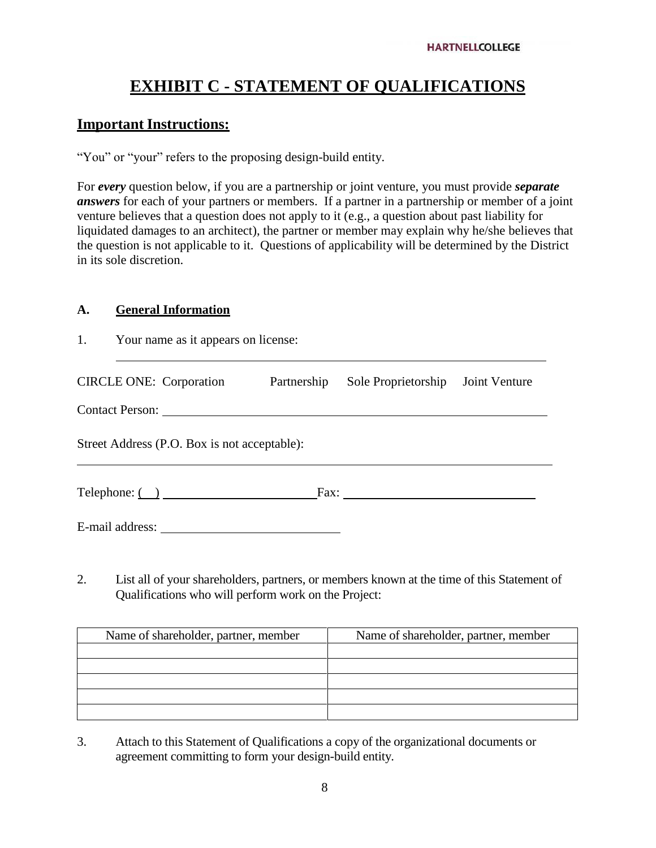# **EXHIBIT C - STATEMENT OF QUALIFICATIONS**

#### **Important Instructions:**

"You" or "your" refers to the proposing design-build entity.

For *every* question below, if you are a partnership or joint venture, you must provide *separate answers* for each of your partners or members. If a partner in a partnership or member of a joint venture believes that a question does not apply to it (e.g., a question about past liability for liquidated damages to an architect), the partner or member may explain why he/she believes that the question is not applicable to it. Questions of applicability will be determined by the District in its sole discretion.

#### **A. General Information**

| 1.                                           | Your name as it appears on license: |             |                                   |  |  |  |
|----------------------------------------------|-------------------------------------|-------------|-----------------------------------|--|--|--|
| <b>CIRCLE ONE:</b> Corporation               |                                     | Partnership | Sole Proprietorship Joint Venture |  |  |  |
|                                              |                                     |             |                                   |  |  |  |
| Street Address (P.O. Box is not acceptable): |                                     |             |                                   |  |  |  |
| $\text{Telephone:}$ $\text{①}$               |                                     |             |                                   |  |  |  |
| E-mail address:                              |                                     |             |                                   |  |  |  |

2. List all of your shareholders, partners, or members known at the time of this Statement of Qualifications who will perform work on the Project:

| Name of shareholder, partner, member | Name of shareholder, partner, member |
|--------------------------------------|--------------------------------------|
|                                      |                                      |
|                                      |                                      |
|                                      |                                      |
|                                      |                                      |
|                                      |                                      |

3. Attach to this Statement of Qualifications a copy of the organizational documents or agreement committing to form your design-build entity.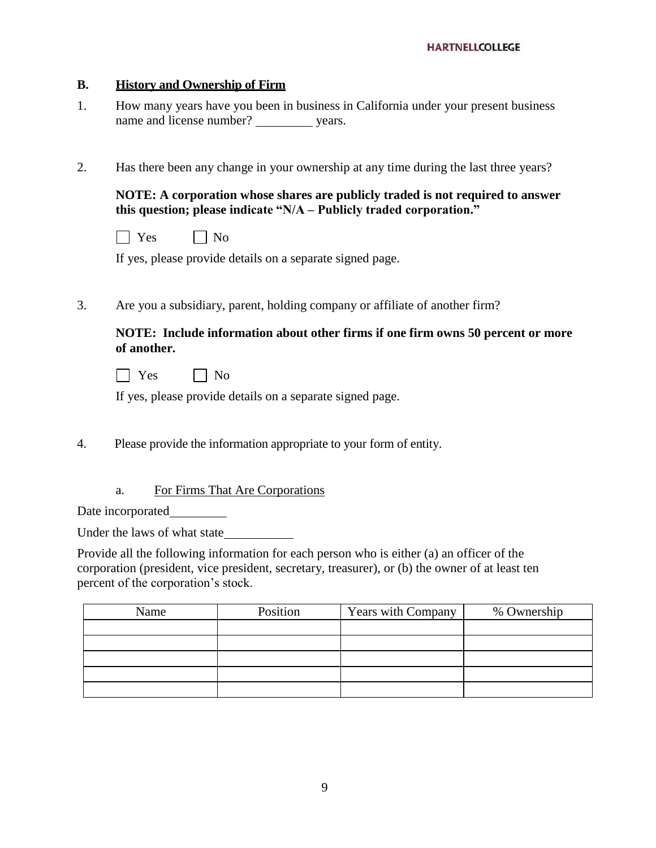#### **B. History and Ownership of Firm**

- 1. How many years have you been in business in California under your present business name and license number? years.
- 2. Has there been any change in your ownership at any time during the last three years?

**NOTE: A corporation whose shares are publicly traded is not required to answer this question; please indicate "N/A – Publicly traded corporation."**

| ١Ö<br>- |  | Г<br>Ν∩ |
|---------|--|---------|
|---------|--|---------|

If yes, please provide details on a separate signed page.

3. Are you a subsidiary, parent, holding company or affiliate of another firm?

#### **NOTE: Include information about other firms if one firm owns 50 percent or more of another.**

| эs | Nο |
|----|----|
|----|----|

If yes, please provide details on a separate signed page.

- 4. Please provide the information appropriate to your form of entity.
	- a. For Firms That Are Corporations

Date incorporated

Under the laws of what state

Provide all the following information for each person who is either (a) an officer of the corporation (president, vice president, secretary, treasurer), or (b) the owner of at least ten percent of the corporation's stock.

| Name | Position | Years with Company | % Ownership |
|------|----------|--------------------|-------------|
|      |          |                    |             |
|      |          |                    |             |
|      |          |                    |             |
|      |          |                    |             |
|      |          |                    |             |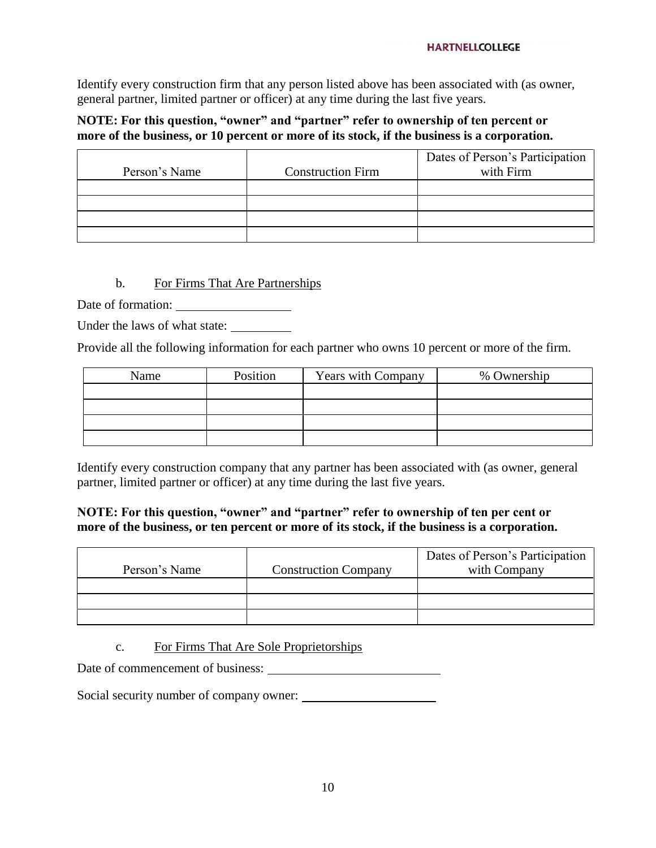#### **HARTNELLCOLLEGE**

Identify every construction firm that any person listed above has been associated with (as owner, general partner, limited partner or officer) at any time during the last five years.

#### **NOTE: For this question, "owner" and "partner" refer to ownership of ten percent or more of the business, or 10 percent or more of its stock, if the business is a corporation.**

|               |                          | Dates of Person's Participation |
|---------------|--------------------------|---------------------------------|
| Person's Name | <b>Construction Firm</b> | with Firm                       |
|               |                          |                                 |
|               |                          |                                 |
|               |                          |                                 |
|               |                          |                                 |

#### b. For Firms That Are Partnerships

Date of formation:

Under the laws of what state:

Provide all the following information for each partner who owns 10 percent or more of the firm.

| Name | Position | <b>Years with Company</b> | % Ownership |
|------|----------|---------------------------|-------------|
|      |          |                           |             |
|      |          |                           |             |
|      |          |                           |             |
|      |          |                           |             |

Identify every construction company that any partner has been associated with (as owner, general partner, limited partner or officer) at any time during the last five years.

#### **NOTE: For this question, "owner" and "partner" refer to ownership of ten per cent or more of the business, or ten percent or more of its stock, if the business is a corporation.**

| Person's Name | <b>Construction Company</b> | Dates of Person's Participation<br>with Company |
|---------------|-----------------------------|-------------------------------------------------|
|               |                             |                                                 |
|               |                             |                                                 |
|               |                             |                                                 |

c. For Firms That Are Sole Proprietorships

Date of commencement of business:

Social security number of company owner: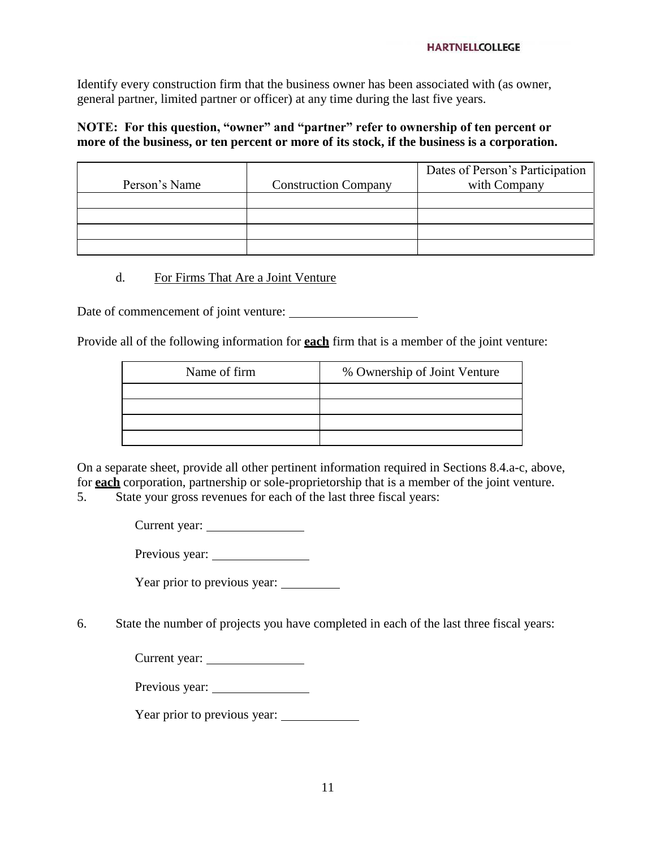#### **HARTNELLCOLLEGE**

Identify every construction firm that the business owner has been associated with (as owner, general partner, limited partner or officer) at any time during the last five years.

#### **NOTE: For this question, "owner" and "partner" refer to ownership of ten percent or more of the business, or ten percent or more of its stock, if the business is a corporation.**

| Person's Name | <b>Construction Company</b> | Dates of Person's Participation<br>with Company |
|---------------|-----------------------------|-------------------------------------------------|
|               |                             |                                                 |
|               |                             |                                                 |
|               |                             |                                                 |
|               |                             |                                                 |

#### d. For Firms That Are a Joint Venture

Date of commencement of joint venture:

Provide all of the following information for **each** firm that is a member of the joint venture:

| Name of firm | % Ownership of Joint Venture |
|--------------|------------------------------|
|              |                              |
|              |                              |
|              |                              |
|              |                              |

On a separate sheet, provide all other pertinent information required in Sections 8.4.a-c, above, for **each** corporation, partnership or sole-proprietorship that is a member of the joint venture.

5. State your gross revenues for each of the last three fiscal years:

Current year:

Previous year:

Year prior to previous year:

6. State the number of projects you have completed in each of the last three fiscal years:

| Current year: |  |
|---------------|--|
|---------------|--|

Previous year:

Year prior to previous year: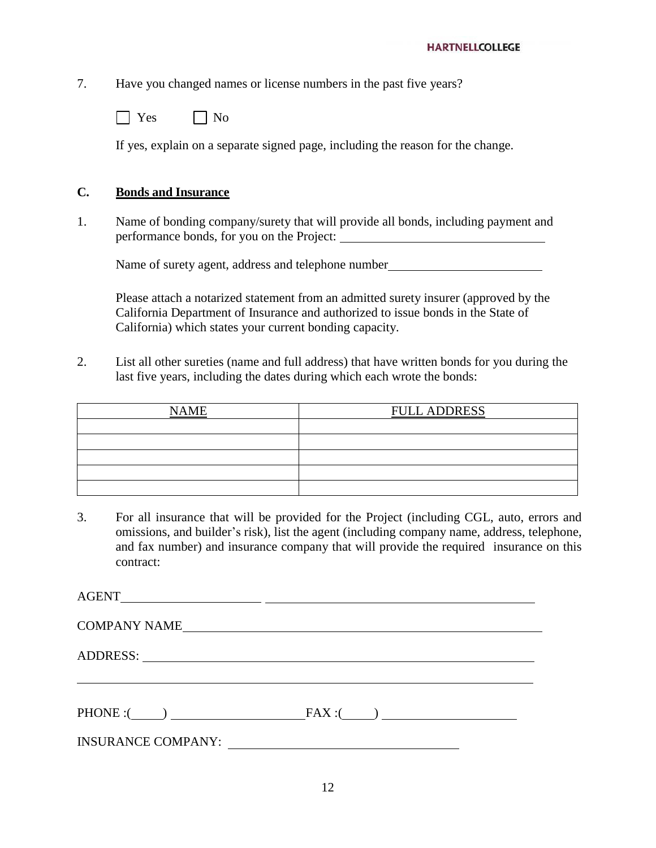7. Have you changed names or license numbers in the past five years?

| АS. | Nο |
|-----|----|
|-----|----|

If yes, explain on a separate signed page, including the reason for the change.

#### **C. Bonds and Insurance**

1. Name of bonding company/surety that will provide all bonds, including payment and performance bonds, for you on the Project:

Name of surety agent, address and telephone number

Please attach a notarized statement from an admitted surety insurer (approved by the California Department of Insurance and authorized to issue bonds in the State of California) which states your current bonding capacity.

2. List all other sureties (name and full address) that have written bonds for you during the last five years, including the dates during which each wrote the bonds:

| <b>NAME</b> | <b>FULL ADDRESS</b> |
|-------------|---------------------|
|             |                     |
|             |                     |
|             |                     |
|             |                     |
|             |                     |

3. For all insurance that will be provided for the Project (including CGL, auto, errors and omissions, and builder's risk), list the agent (including company name, address, telephone, and fax number) and insurance company that will provide the required insurance on this contract:

| <b>COMPANY NAME</b>       |                 |  |
|---------------------------|-----------------|--|
|                           |                 |  |
| PHONE : ( )               | $FAX: (\qquad)$ |  |
| <b>INSURANCE COMPANY:</b> |                 |  |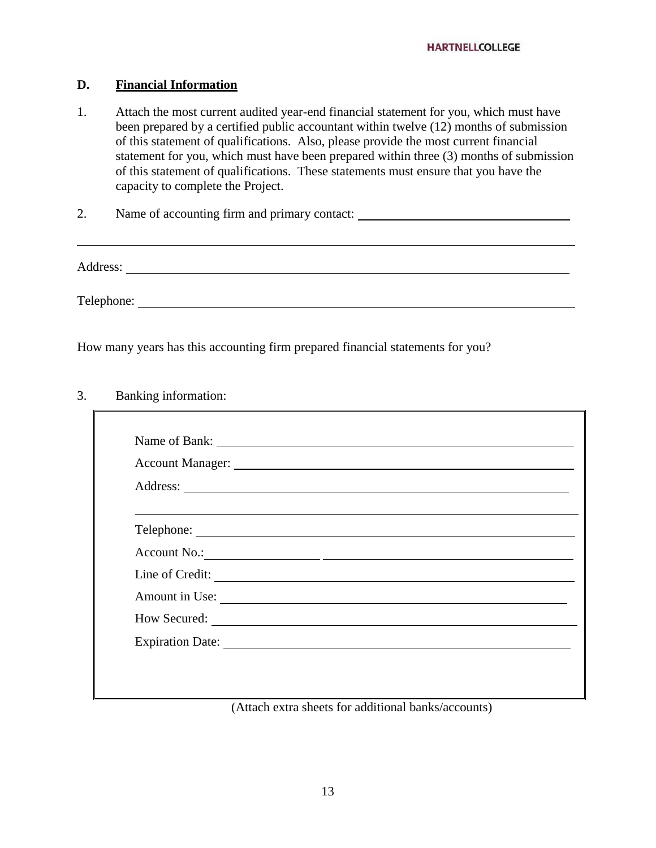#### **D. Financial Information**

- 1. Attach the most current audited year-end financial statement for you, which must have been prepared by a certified public accountant within twelve (12) months of submission of this statement of qualifications. Also, please provide the most current financial statement for you, which must have been prepared within three (3) months of submission of this statement of qualifications. These statements must ensure that you have the capacity to complete the Project.
- 2. Name of accounting firm and primary contact:

Address:

and the control of the control of the control of the control of the control of the control of the control of the

Telephone: <u>the contract of the contract of the contract of the contract of the contract of the contract of the contract of the contract of the contract of the contract of the contract of the contract of the contract of th</u>

How many years has this accounting firm prepared financial statements for you?

#### 3. Banking information:

| Line of Credit: |  |  |
|-----------------|--|--|
| Amount in Use:  |  |  |
|                 |  |  |
|                 |  |  |

(Attach extra sheets for additional banks/accounts)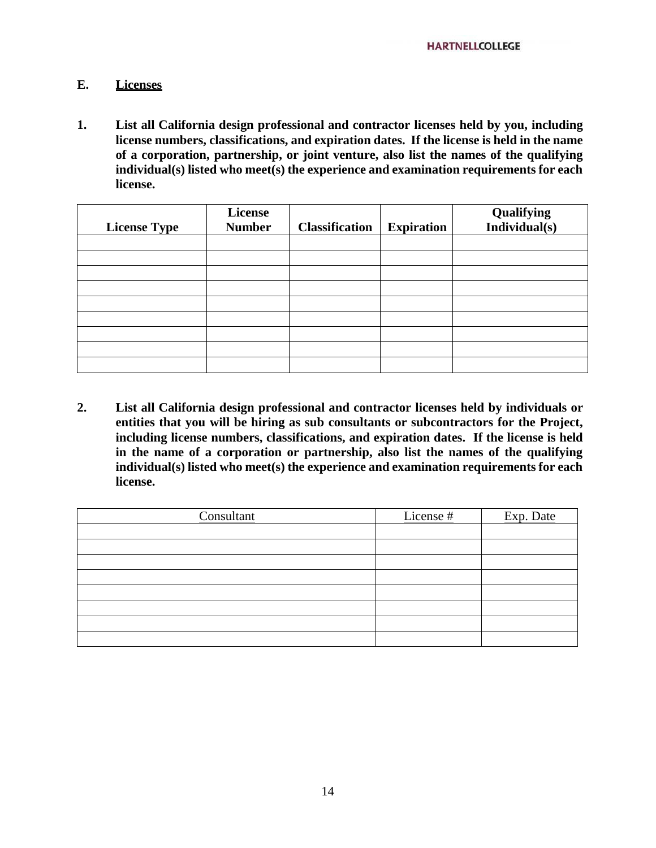#### **E. Licenses**

**1. List all California design professional and contractor licenses held by you, including license numbers, classifications, and expiration dates. If the license is held in the name of a corporation, partnership, or joint venture, also list the names of the qualifying individual(s) listed who meet(s) the experience and examination requirements for each license.**

| <b>License Type</b> | License<br><b>Number</b> | <b>Classification</b> | <b>Expiration</b> | Qualifying<br>Individual $(s)$ |
|---------------------|--------------------------|-----------------------|-------------------|--------------------------------|
|                     |                          |                       |                   |                                |
|                     |                          |                       |                   |                                |
|                     |                          |                       |                   |                                |
|                     |                          |                       |                   |                                |
|                     |                          |                       |                   |                                |
|                     |                          |                       |                   |                                |
|                     |                          |                       |                   |                                |
|                     |                          |                       |                   |                                |
|                     |                          |                       |                   |                                |

**2. List all California design professional and contractor licenses held by individuals or entities that you will be hiring as sub consultants or subcontractors for the Project, including license numbers, classifications, and expiration dates. If the license is held in the name of a corporation or partnership, also list the names of the qualifying individual(s) listed who meet(s) the experience and examination requirements for each license.**

| Consultant | License # | Exp. Date |
|------------|-----------|-----------|
|            |           |           |
|            |           |           |
|            |           |           |
|            |           |           |
|            |           |           |
|            |           |           |
|            |           |           |
|            |           |           |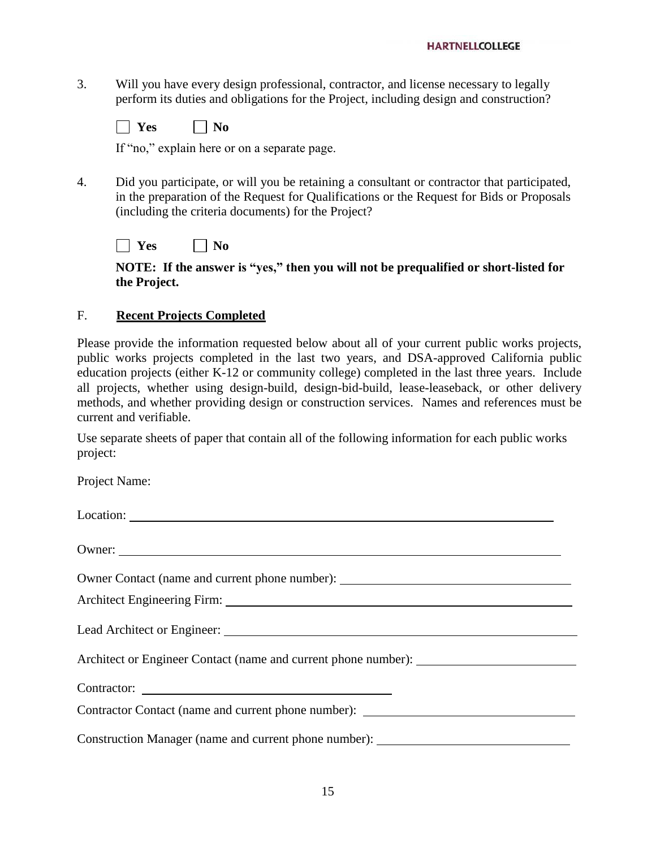3. Will you have every design professional, contractor, and license necessary to legally perform its duties and obligations for the Project, including design and construction?

| $\sim$<br>-- | n<br>N I |
|--------------|----------|
|              |          |

If "no," explain here or on a separate page.

4. Did you participate, or will you be retaining a consultant or contractor that participated, in the preparation of the Request for Qualifications or the Request for Bids or Proposals (including the criteria documents) for the Project?

 $\Box$  Yes  $\Box$  No

**NOTE: If the answer is "yes," then you will not be prequalified or short-listed for the Project.**

#### F. **Recent Projects Completed**

Please provide the information requested below about all of your current public works projects, public works projects completed in the last two years, and DSA-approved California public education projects (either K-12 or community college) completed in the last three years. Include all projects, whether using design-build, design-bid-build, lease-leaseback, or other delivery methods, and whether providing design or construction services. Names and references must be current and verifiable.

Use separate sheets of paper that contain all of the following information for each public works project:

Project Name:

Location: Owner: Owner Contact (name and current phone number): Architect Engineering Firm: Lead Architect or Engineer: Architect or Engineer Contact (name and current phone number): Contractor: Contractor Contact (name and current phone number): Construction Manager (name and current phone number):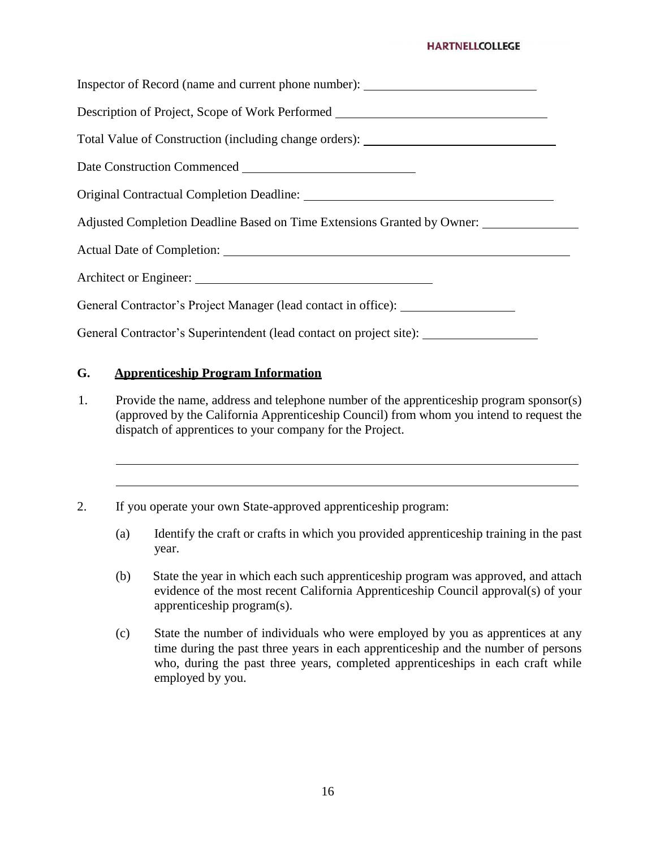#### **HARTNELLCOLLEGE**

Inspector of Record (name and current phone number): Description of Project, Scope of Work Performed Total Value of Construction (including change orders): Date Construction Commenced Original Contractual Completion Deadline: Adjusted Completion Deadline Based on Time Extensions Granted by Owner: Actual Date of Completion: Architect or Engineer: \_\_\_\_\_\_\_ General Contractor's Project Manager (lead contact in office): General Contractor's Superintendent (lead contact on project site):

#### **G. Apprenticeship Program Information**

- 1. Provide the name, address and telephone number of the apprenticeship program sponsor(s) (approved by the California Apprenticeship Council) from whom you intend to request the dispatch of apprentices to your company for the Project.
- 2. If you operate your own State-approved apprenticeship program:
	- (a) Identify the craft or crafts in which you provided apprenticeship training in the past year.
	- (b) State the year in which each such apprenticeship program was approved, and attach evidence of the most recent California Apprenticeship Council approval(s) of your apprenticeship program(s).
	- (c) State the number of individuals who were employed by you as apprentices at any time during the past three years in each apprenticeship and the number of persons who, during the past three years, completed apprenticeships in each craft while employed by you.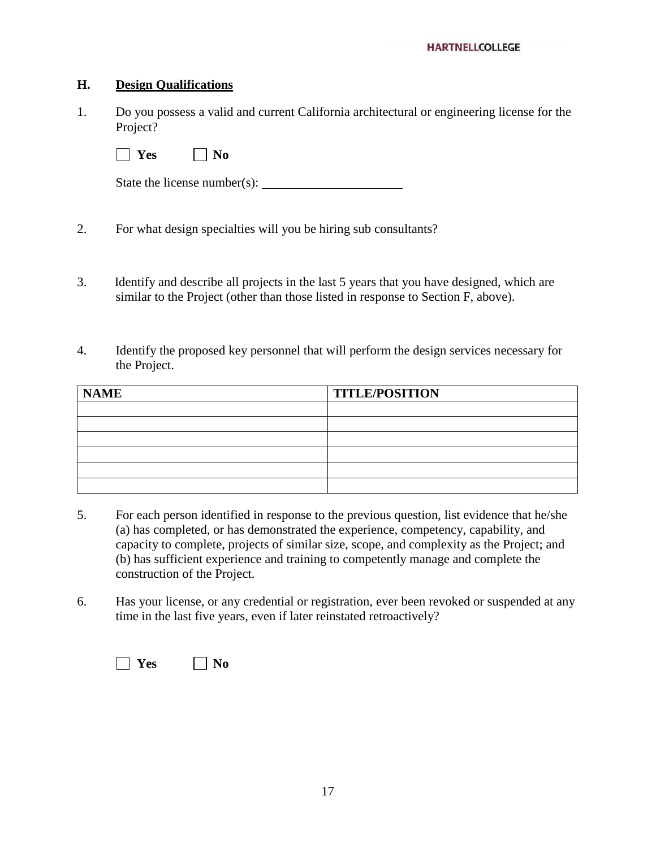#### **H. Design Qualifications**

1. Do you possess a valid and current California architectural or engineering license for the Project?

 $\Box$  **Yes**  $\Box$  **No** 

State the license number(s):

- 2. For what design specialties will you be hiring sub consultants?
- 3. Identify and describe all projects in the last 5 years that you have designed, which are similar to the Project (other than those listed in response to Section F, above).
- 4. Identify the proposed key personnel that will perform the design services necessary for the Project.

| <b>NAME</b> | <b>TITLE/POSITION</b> |
|-------------|-----------------------|
|             |                       |
|             |                       |
|             |                       |
|             |                       |
|             |                       |
|             |                       |

- 5. For each person identified in response to the previous question, list evidence that he/she (a) has completed, or has demonstrated the experience, competency, capability, and capacity to complete, projects of similar size, scope, and complexity as the Project; and (b) has sufficient experience and training to competently manage and complete the construction of the Project.
- 6. Has your license, or any credential or registration, ever been revoked or suspended at any time in the last five years, even if later reinstated retroactively?

| $\sim$<br>۰,<br>. . | - |
|---------------------|---|
|---------------------|---|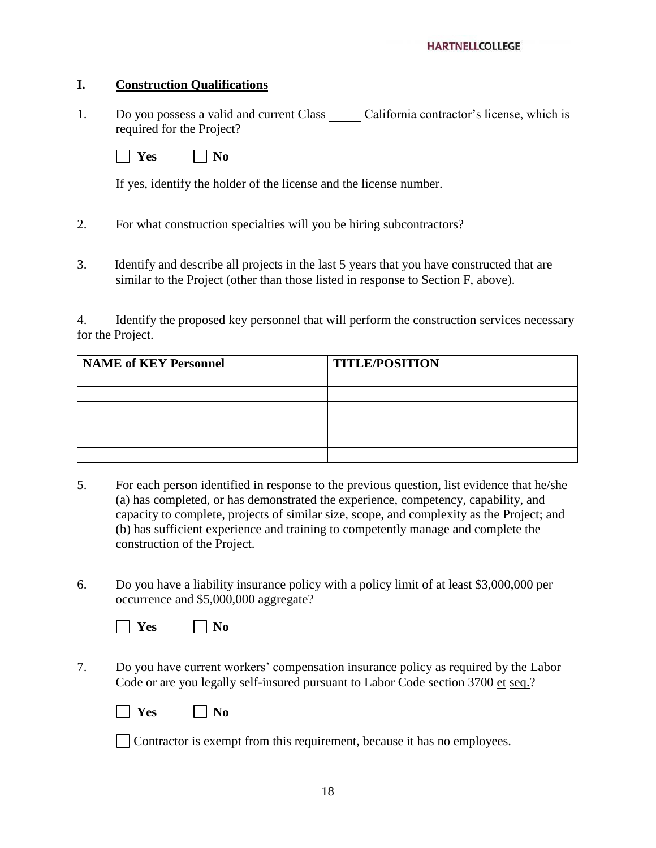#### **I. Construction Qualifications**

1. Do you possess a valid and current Class California contractor's license, which is required for the Project?

 $\Box$  **Yes**  $\Box$  **No** 

If yes, identify the holder of the license and the license number.

- 2. For what construction specialties will you be hiring subcontractors?
- 3. Identify and describe all projects in the last 5 years that you have constructed that are similar to the Project (other than those listed in response to Section F, above).

4. Identify the proposed key personnel that will perform the construction services necessary for the Project.

| <b>NAME of KEY Personnel</b> | <b>TITLE/POSITION</b> |
|------------------------------|-----------------------|
|                              |                       |
|                              |                       |
|                              |                       |
|                              |                       |
|                              |                       |
|                              |                       |

- 5. For each person identified in response to the previous question, list evidence that he/she (a) has completed, or has demonstrated the experience, competency, capability, and capacity to complete, projects of similar size, scope, and complexity as the Project; and (b) has sufficient experience and training to competently manage and complete the construction of the Project.
- 6. Do you have a liability insurance policy with a policy limit of at least \$3,000,000 per occurrence and \$5,000,000 aggregate?

| $\sim$ | n  |
|--------|----|
| ٠,     | м. |
|        |    |

7. Do you have current workers' compensation insurance policy as required by the Labor Code or are you legally self-insured pursuant to Labor Code section 3700 et seq.?

| c<br> | n |
|-------|---|
|-------|---|

Contractor is exempt from this requirement, because it has no employees.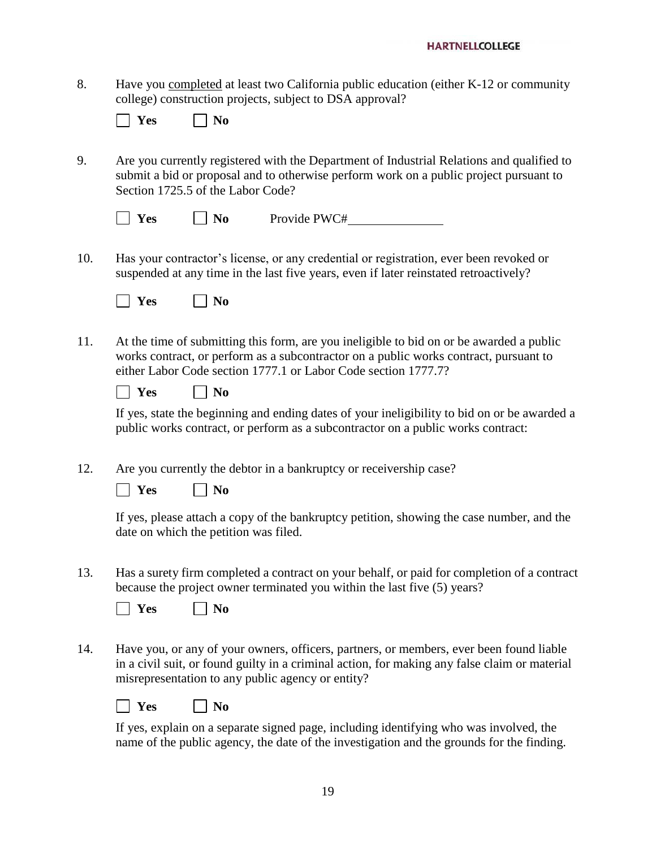8. Have you completed at least two California public education (either K-12 or community college) construction projects, subject to DSA approval?

| РS | No |
|----|----|
|----|----|

9. Are you currently registered with the Department of Industrial Relations and qualified to submit a bid or proposal and to otherwise perform work on a public project pursuant to Section 1725.5 of the Labor Code?

| $\vert$ Yes | $\vert$   No | Provide PWC# |
|-------------|--------------|--------------|
|             |              |              |

10. Has your contractor's license, or any credential or registration, ever been revoked or suspended at any time in the last five years, even if later reinstated retroactively?

| C<br>н. | n<br>- |
|---------|--------|
|---------|--------|

11. At the time of submitting this form, are you ineligible to bid on or be awarded a public works contract, or perform as a subcontractor on a public works contract, pursuant to either Labor Code section 1777.1 or Labor Code section 1777.7?

| ה | NA |
|---|----|
| ж |    |

If yes, state the beginning and ending dates of your ineligibility to bid on or be awarded a public works contract, or perform as a subcontractor on a public works contract:

12. Are you currently the debtor in a bankruptcy or receivership case?

| ገር<br>٠, | n<br>N I |
|----------|----------|
|----------|----------|

If yes, please attach a copy of the bankruptcy petition, showing the case number, and the date on which the petition was filed.

13. Has a surety firm completed a contract on your behalf, or paid for completion of a contract because the project owner terminated you within the last five (5) years?

| ~<br>. .<br>$\sim$ | _______ |
|--------------------|---------|
|--------------------|---------|

14. Have you, or any of your owners, officers, partners, or members, ever been found liable in a civil suit, or found guilty in a criminal action, for making any false claim or material misrepresentation to any public agency or entity?

|--|--|

**Yes No**

If yes, explain on a separate signed page, including identifying who was involved, the name of the public agency, the date of the investigation and the grounds for the finding.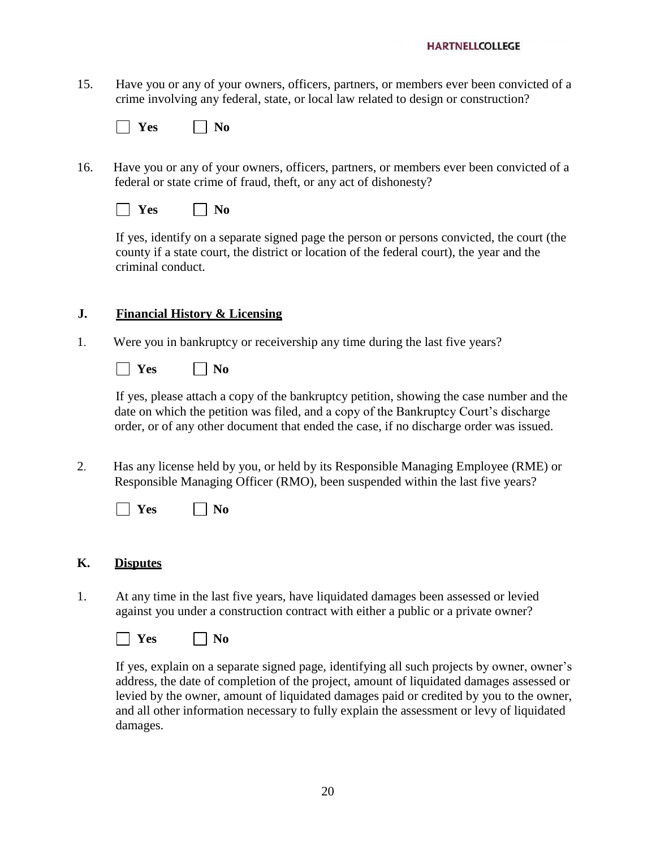15. Have you or any of your owners, officers, partners, or members ever been convicted of a crime involving any federal, state, or local law related to design or construction?

| -<br>- 1 |  |
|----------|--|
|----------|--|

- 16. Have you or any of your owners, officers, partners, or members ever been convicted of a federal or state crime of fraud, theft, or any act of dishonesty?
	- | | **Yes** | | **No**

If yes, identify on a separate signed page the person or persons convicted, the court (the county if a state court, the district or location of the federal court), the year and the criminal conduct.

#### **J. Financial History & Licensing**

1. Were you in bankruptcy or receivership any time during the last five years?

**No** 

If yes, please attach a copy of the bankruptcy petition, showing the case number and the date on which the petition was filed, and a copy of the Bankruptcy Court's discharge order, or of any other document that ended the case, if no discharge order was issued.

2. Has any license held by you, or held by its Responsible Managing Employee (RME) or Responsible Managing Officer (RMO), been suspended within the last five years?

| -<br>., | n |
|---------|---|
|---------|---|

#### **K. Disputes**

1. At any time in the last five years, have liquidated damages been assessed or levied against you under a construction contract with either a public or a private owner?

**No No** 

If yes, explain on a separate signed page, identifying all such projects by owner, owner's address, the date of completion of the project, amount of liquidated damages assessed or levied by the owner, amount of liquidated damages paid or credited by you to the owner, and all other information necessary to fully explain the assessment or levy of liquidated damages.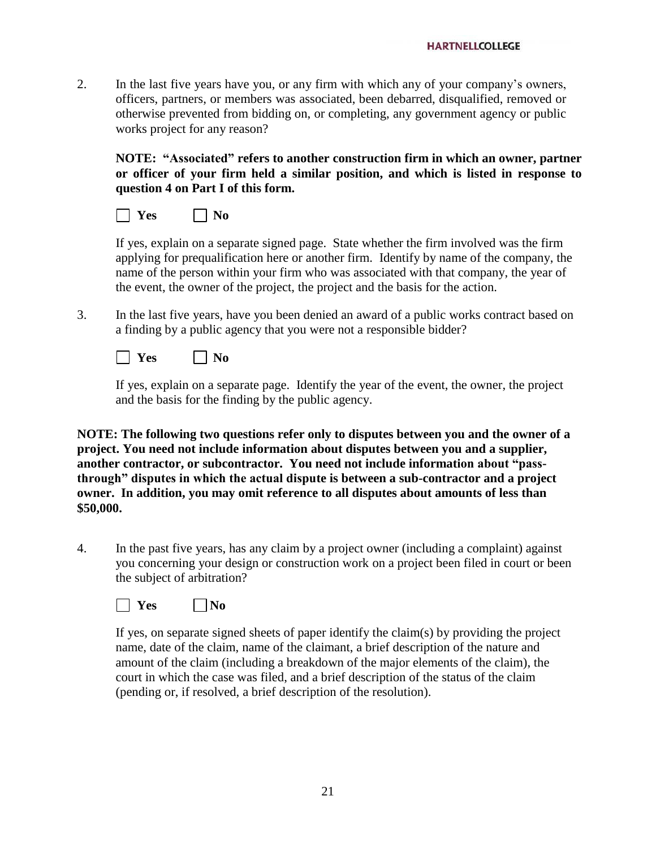2. In the last five years have you, or any firm with which any of your company's owners, officers, partners, or members was associated, been debarred, disqualified, removed or otherwise prevented from bidding on, or completing, any government agency or public works project for any reason?

**NOTE: "Associated" refers to another construction firm in which an owner, partner or officer of your firm held a similar position, and which is listed in response to question 4 on Part I of this form.**

| ĸ<br>∽ | NA |
|--------|----|
|--------|----|

If yes, explain on a separate signed page. State whether the firm involved was the firm applying for prequalification here or another firm. Identify by name of the company, the name of the person within your firm who was associated with that company, the year of the event, the owner of the project, the project and the basis for the action.

3. In the last five years, have you been denied an award of a public works contract based on a finding by a public agency that you were not a responsible bidder?

 $\Box$  **Yes**  $\Box$  **No** 

If yes, explain on a separate page. Identify the year of the event, the owner, the project and the basis for the finding by the public agency.

**NOTE: The following two questions refer only to disputes between you and the owner of a project. You need not include information about disputes between you and a supplier, another contractor, or subcontractor. You need not include information about "passthrough" disputes in which the actual dispute is between a sub-contractor and a project owner. In addition, you may omit reference to all disputes about amounts of less than \$50,000.**

4. In the past five years, has any claim by a project owner (including a complaint) against you concerning your design or construction work on a project been filed in court or been the subject of arbitration?



If yes, on separate signed sheets of paper identify the claim(s) by providing the project name, date of the claim, name of the claimant, a brief description of the nature and amount of the claim (including a breakdown of the major elements of the claim), the court in which the case was filed, and a brief description of the status of the claim (pending or, if resolved, a brief description of the resolution).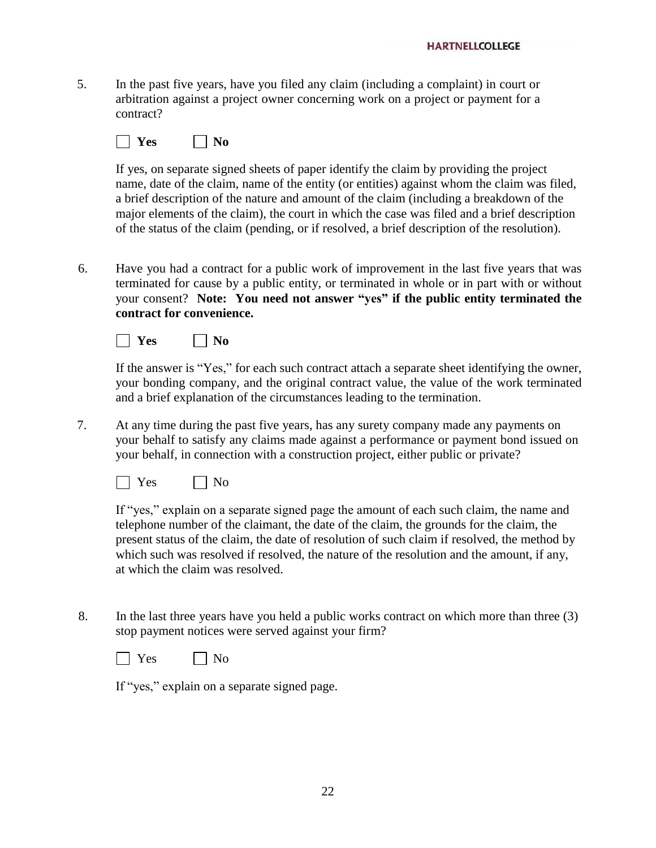5. In the past five years, have you filed any claim (including a complaint) in court or arbitration against a project owner concerning work on a project or payment for a contract?

 $\Box$  Yes  $\Box$  No

If yes, on separate signed sheets of paper identify the claim by providing the project name, date of the claim, name of the entity (or entities) against whom the claim was filed, a brief description of the nature and amount of the claim (including a breakdown of the major elements of the claim), the court in which the case was filed and a brief description of the status of the claim (pending, or if resolved, a brief description of the resolution).

6. Have you had a contract for a public work of improvement in the last five years that was terminated for cause by a public entity, or terminated in whole or in part with or without your consent? **Note: You need not answer "yes" if the public entity terminated the contract for convenience.**



If the answer is "Yes," for each such contract attach a separate sheet identifying the owner, your bonding company, and the original contract value, the value of the work terminated and a brief explanation of the circumstances leading to the termination.

7. At any time during the past five years, has any surety company made any payments on your behalf to satisfy any claims made against a performance or payment bond issued on your behalf, in connection with a construction project, either public or private?

 $\Box$  Yes  $\Box$  No

If "yes," explain on a separate signed page the amount of each such claim, the name and telephone number of the claimant, the date of the claim, the grounds for the claim, the present status of the claim, the date of resolution of such claim if resolved, the method by which such was resolved if resolved, the nature of the resolution and the amount, if any, at which the claim was resolved.

8. In the last three years have you held a public works contract on which more than three (3) stop payment notices were served against your firm?



If "yes," explain on a separate signed page.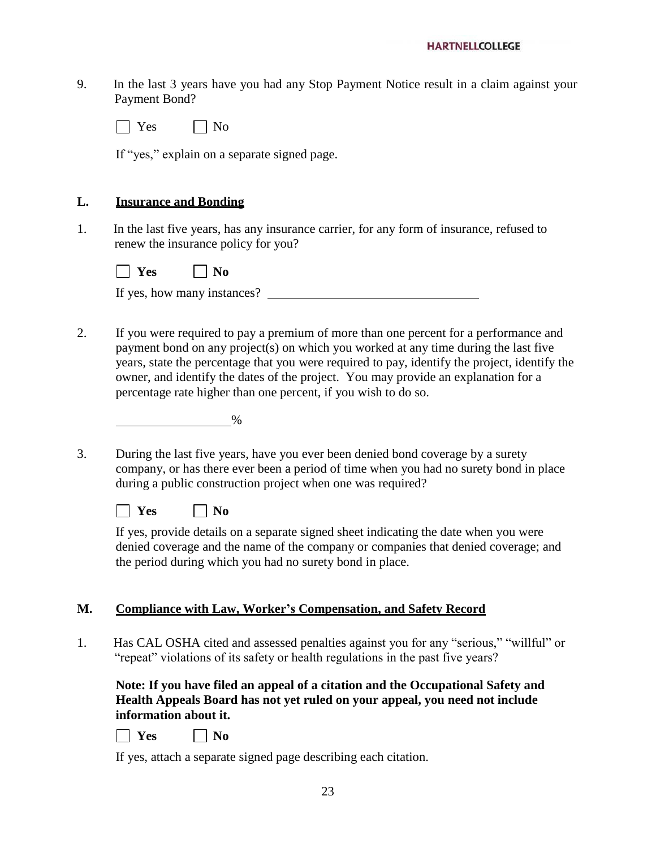9. In the last 3 years have you had any Stop Payment Notice result in a claim against your Payment Bond?

 $\Box$  Yes  $\Box$  No

If "yes," explain on a separate signed page.

#### **L. Insurance and Bonding**

1. In the last five years, has any insurance carrier, for any form of insurance, refused to renew the insurance policy for you?

| $\sim$<br>ъ, | n<br>м. |
|--------------|---------|
|--------------|---------|

|  | If yes, how many instances? |  |
|--|-----------------------------|--|
|  |                             |  |

2. If you were required to pay a premium of more than one percent for a performance and payment bond on any project(s) on which you worked at any time during the last five years, state the percentage that you were required to pay, identify the project, identify the owner, and identify the dates of the project. You may provide an explanation for a percentage rate higher than one percent, if you wish to do so.

| % |
|---|
|   |

3. During the last five years, have you ever been denied bond coverage by a surety company, or has there ever been a period of time when you had no surety bond in place during a public construction project when one was required?

 $\Box$  **Yes**  $\Box$  **No** 

If yes, provide details on a separate signed sheet indicating the date when you were denied coverage and the name of the company or companies that denied coverage; and the period during which you had no surety bond in place.

#### **M. Compliance with Law, Worker's Compensation, and Safety Record**

1. Has CAL OSHA cited and assessed penalties against you for any "serious," "willful" or "repeat" violations of its safety or health regulations in the past five years?

**Note: If you have filed an appeal of a citation and the Occupational Safety and Health Appeals Board has not yet ruled on your appeal, you need not include information about it.**

| ገጣ<br>r. | NΛ |
|----------|----|
|----------|----|

If yes, attach a separate signed page describing each citation.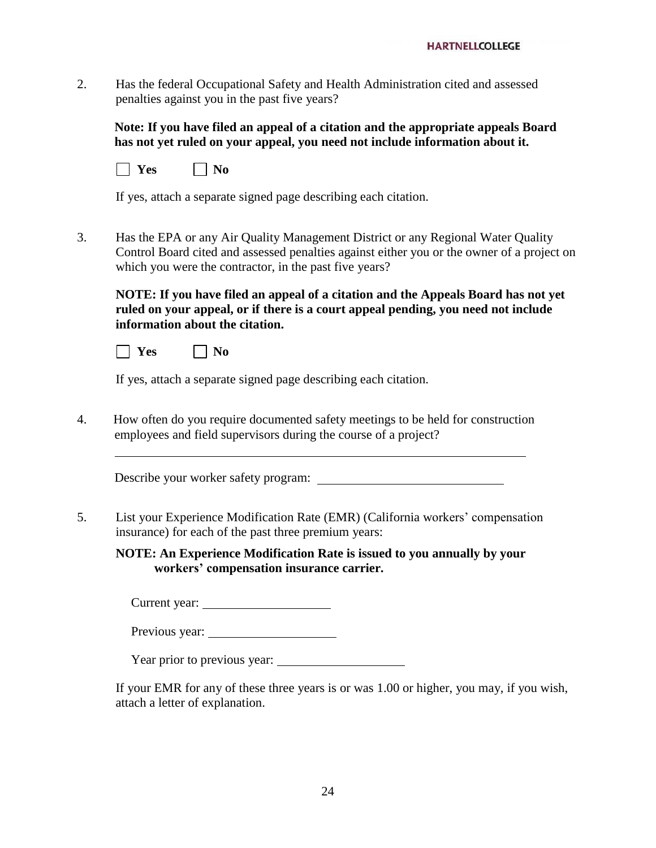2. Has the federal Occupational Safety and Health Administration cited and assessed penalties against you in the past five years?

**Note: If you have filed an appeal of a citation and the appropriate appeals Board has not yet ruled on your appeal, you need not include information about it.**

|--|--|

If yes, attach a separate signed page describing each citation.

3. Has the EPA or any Air Quality Management District or any Regional Water Quality Control Board cited and assessed penalties against either you or the owner of a project on which you were the contractor, in the past five years?

**NOTE: If you have filed an appeal of a citation and the Appeals Board has not yet ruled on your appeal, or if there is a court appeal pending, you need not include information about the citation.**

 $\Box$  Yes  $\Box$  No

If yes, attach a separate signed page describing each citation.

4. How often do you require documented safety meetings to be held for construction employees and field supervisors during the course of a project?

Describe your worker safety program:

5. List your Experience Modification Rate (EMR) (California workers' compensation insurance) for each of the past three premium years:

**NOTE: An Experience Modification Rate is issued to you annually by your workers' compensation insurance carrier.**

Current year:

Previous year:

Year prior to previous year:

If your EMR for any of these three years is or was 1.00 or higher, you may, if you wish, attach a letter of explanation.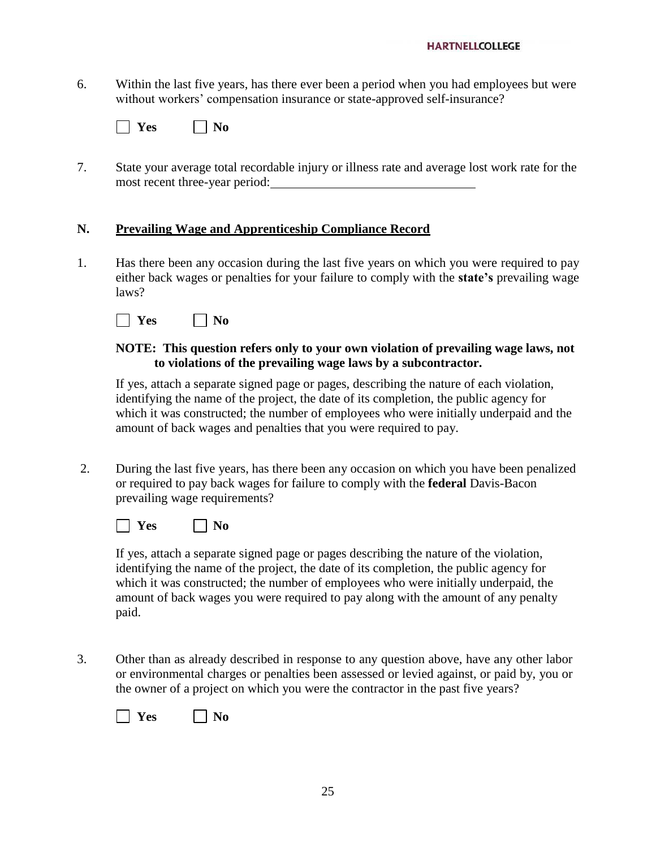6. Within the last five years, has there ever been a period when you had employees but were without workers' compensation insurance or state-approved self-insurance?

| $\sim$<br>--<br>$\overline{\phantom{a}}$ |  |
|------------------------------------------|--|
|------------------------------------------|--|

7. State your average total recordable injury or illness rate and average lost work rate for the most recent three-year period:

#### **N. Prevailing Wage and Apprenticeship Compliance Record**

1. Has there been any occasion during the last five years on which you were required to pay either back wages or penalties for your failure to comply with the **state's** prevailing wage laws?

| ъa | ſ  |
|----|----|
| ĸç | л, |
|    | −  |

#### **NOTE: This question refers only to your own violation of prevailing wage laws, not to violations of the prevailing wage laws by a subcontractor.**

If yes, attach a separate signed page or pages, describing the nature of each violation, identifying the name of the project, the date of its completion, the public agency for which it was constructed; the number of employees who were initially underpaid and the amount of back wages and penalties that you were required to pay.

2. During the last five years, has there been any occasion on which you have been penalized or required to pay back wages for failure to comply with the **federal** Davis-Bacon prevailing wage requirements?



If yes, attach a separate signed page or pages describing the nature of the violation, identifying the name of the project, the date of its completion, the public agency for which it was constructed; the number of employees who were initially underpaid, the amount of back wages you were required to pay along with the amount of any penalty paid.

3. Other than as already described in response to any question above, have any other labor or environmental charges or penalties been assessed or levied against, or paid by, you or the owner of a project on which you were the contractor in the past five years?

| $\sim$<br>- -<br>$\sim$ | - |
|-------------------------|---|
|-------------------------|---|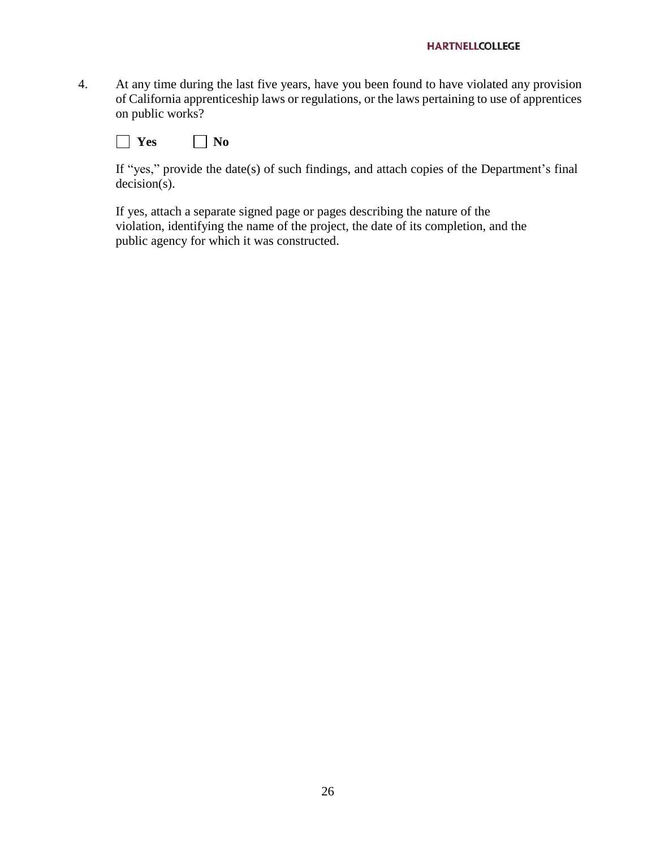4. At any time during the last five years, have you been found to have violated any provision of California apprenticeship laws or regulations, or the laws pertaining to use of apprentices on public works?

**No Yes No** 

If "yes," provide the date(s) of such findings, and attach copies of the Department's final decision(s).

If yes, attach a separate signed page or pages describing the nature of the violation, identifying the name of the project, the date of its completion, and the public agency for which it was constructed.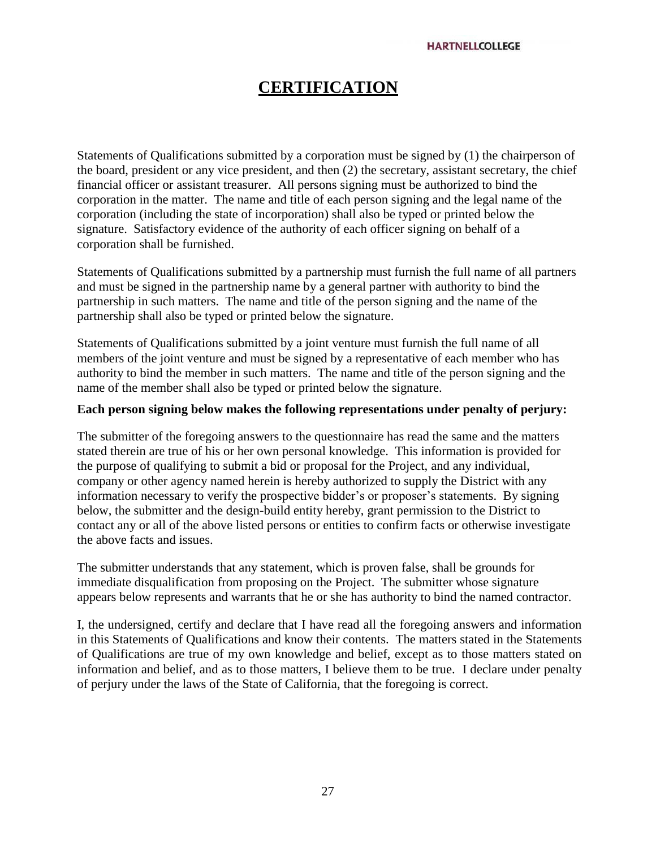## **CERTIFICATION**

Statements of Qualifications submitted by a corporation must be signed by (1) the chairperson of the board, president or any vice president, and then (2) the secretary, assistant secretary, the chief financial officer or assistant treasurer. All persons signing must be authorized to bind the corporation in the matter. The name and title of each person signing and the legal name of the corporation (including the state of incorporation) shall also be typed or printed below the signature. Satisfactory evidence of the authority of each officer signing on behalf of a corporation shall be furnished.

Statements of Qualifications submitted by a partnership must furnish the full name of all partners and must be signed in the partnership name by a general partner with authority to bind the partnership in such matters. The name and title of the person signing and the name of the partnership shall also be typed or printed below the signature.

Statements of Qualifications submitted by a joint venture must furnish the full name of all members of the joint venture and must be signed by a representative of each member who has authority to bind the member in such matters. The name and title of the person signing and the name of the member shall also be typed or printed below the signature.

#### **Each person signing below makes the following representations under penalty of perjury:**

The submitter of the foregoing answers to the questionnaire has read the same and the matters stated therein are true of his or her own personal knowledge. This information is provided for the purpose of qualifying to submit a bid or proposal for the Project, and any individual, company or other agency named herein is hereby authorized to supply the District with any information necessary to verify the prospective bidder's or proposer's statements. By signing below, the submitter and the design-build entity hereby, grant permission to the District to contact any or all of the above listed persons or entities to confirm facts or otherwise investigate the above facts and issues.

The submitter understands that any statement, which is proven false, shall be grounds for immediate disqualification from proposing on the Project. The submitter whose signature appears below represents and warrants that he or she has authority to bind the named contractor.

I, the undersigned, certify and declare that I have read all the foregoing answers and information in this Statements of Qualifications and know their contents. The matters stated in the Statements of Qualifications are true of my own knowledge and belief, except as to those matters stated on information and belief, and as to those matters, I believe them to be true. I declare under penalty of perjury under the laws of the State of California, that the foregoing is correct.